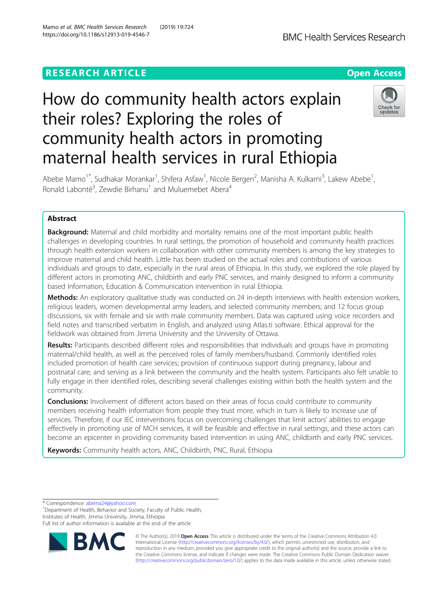## **RESEARCH ARTICLE Example 2014 12:30 The Contract of Contract ACCESS**

# How do community health actors explain their roles? Exploring the roles of community health actors in promoting maternal health services in rural Ethiopia

Abebe Mamo<sup>1\*</sup>, Sudhakar Morankar<sup>1</sup>, Shifera Asfaw<sup>1</sup>, Nicole Bergen<sup>2</sup>, Manisha A. Kulkarni<sup>3</sup>, Lakew Abebe<sup>1</sup> , Ronald Labonté<sup>3</sup>, Zewdie Birhanu<sup>1</sup> and Muluemebet Abera<sup>4</sup>

## Abstract

**Background:** Maternal and child morbidity and mortality remains one of the most important public health challenges in developing countries. In rural settings, the promotion of household and community health practices through health extension workers in collaboration with other community members is among the key strategies to improve maternal and child health. Little has been studied on the actual roles and contributions of various individuals and groups to date, especially in the rural areas of Ethiopia. In this study, we explored the role played by different actors in promoting ANC, childbirth and early PNC services, and mainly designed to inform a community based Information, Education & Communication intervention in rural Ethiopia.

Methods: An exploratory qualitative study was conducted on 24 in-depth interviews with health extension workers, religious leaders, women developmental army leaders, and selected community members; and 12 focus group discussions, six with female and six with male community members. Data was captured using voice recorders and field notes and transcribed verbatim in English, and analyzed using Atlas.ti software. Ethical approval for the fieldwork was obtained from Jimma University and the University of Ottawa.

Results: Participants described different roles and responsibilities that individuals and groups have in promoting maternal/child health, as well as the perceived roles of family members/husband. Commonly identified roles included promotion of health care services; provision of continuous support during pregnancy, labour and postnatal care; and serving as a link between the community and the health system. Participants also felt unable to fully engage in their identified roles, describing several challenges existing within both the health system and the community.

**Conclusions:** Involvement of different actors based on their areas of focus could contribute to community members receiving health information from people they trust more, which in turn is likely to increase use of services. Therefore, if our IEC interventions focus on overcoming challenges that limit actors' abilities to engage effectively in promoting use of MCH services, it will be feasible and effective in rural settings, and these actors can become an epicenter in providing community based intervention in using ANC, childbirth and early PNC services.

Keywords: Community health actors, ANC, Childbirth, PNC, Rural, Ethiopia

<sup>1</sup>Department of Health, Behavior and Society, Faculty of Public Health,

Full list of author information is available at the end of the article

© The Author(s). 2019 **Open Access** This article is distributed under the terms of the Creative Commons Attribution 4.0 International License [\(http://creativecommons.org/licenses/by/4.0/](http://creativecommons.org/licenses/by/4.0/)), which permits unrestricted use, distribution, and reproduction in any medium, provided you give appropriate credit to the original author(s) and the source, provide a link to the Creative Commons license, and indicate if changes were made. The Creative Commons Public Domain Dedication waiver [\(http://creativecommons.org/publicdomain/zero/1.0/](http://creativecommons.org/publicdomain/zero/1.0/)) applies to the data made available in this article, unless otherwise stated.

\* Correspondence: [abema24@yahoo.com](mailto:abema24@yahoo.com) <sup>1</sup>

Institutes of Health, Jimma University, Jimma, Ethiopia



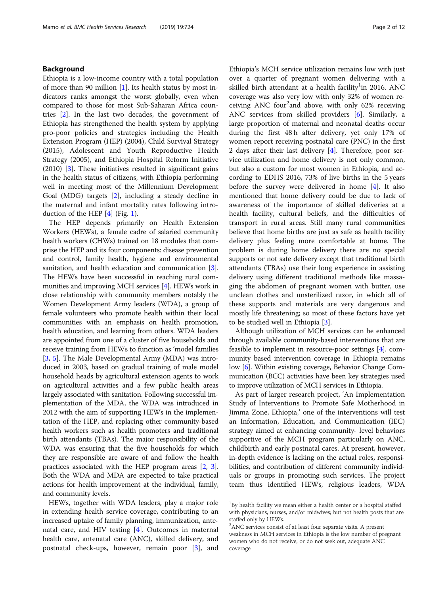## Background

Ethiopia is a low-income country with a total population of more than 90 million [[1\]](#page-11-0). Its health status by most indicators ranks amongst the worst globally, even when compared to those for most Sub-Saharan Africa countries [[2\]](#page-11-0). In the last two decades, the government of Ethiopia has strengthened the health system by applying pro-poor policies and strategies including the Health Extension Program (HEP) (2004), Child Survival Strategy (2015), Adolescent and Youth Reproductive Health Strategy (2005), and Ethiopia Hospital Reform Initiative (2010) [[3\]](#page-11-0). These initiatives resulted in significant gains in the health status of citizens, with Ethiopia performing well in meeting most of the Millennium Development Goal (MDG) targets [\[2\]](#page-11-0), including a steady decline in the maternal and infant mortality rates following introduction of the HEP [\[4](#page-11-0)] (Fig. [1\)](#page-2-0).

The HEP depends primarily on Health Extension Workers (HEWs), a female cadre of salaried community health workers (CHWs) trained on 18 modules that comprise the HEP and its four components: disease prevention and control, family health, hygiene and environmental sanitation, and health education and communication [[3](#page-11-0)]. The HEWs have been successful in reaching rural communities and improving MCH services [[4\]](#page-11-0). HEWs work in close relationship with community members notably the Women Development Army leaders (WDA), a group of female volunteers who promote health within their local communities with an emphasis on health promotion, health education, and learning from others. WDA leaders are appointed from one of a cluster of five households and receive training from HEWs to function as 'model families [[3,](#page-11-0) [5\]](#page-11-0). The Male Developmental Army (MDA) was introduced in 2003, based on gradual training of male model household heads by agricultural extension agents to work on agricultural activities and a few public health areas largely associated with sanitation. Following successful implementation of the MDA, the WDA was introduced in 2012 with the aim of supporting HEWs in the implementation of the HEP, and replacing other community-based health workers such as health promoters and traditional birth attendants (TBAs). The major responsibility of the WDA was ensuring that the five households for which they are responsible are aware of and follow the health practices associated with the HEP program areas [\[2](#page-11-0), [3](#page-11-0)]. Both the WDA and MDA are expected to take practical actions for health improvement at the individual, family, and community levels.

HEWs, together with WDA leaders, play a major role in extending health service coverage, contributing to an increased uptake of family planning, immunization, antenatal care, and HIV testing [[4\]](#page-11-0). Outcomes in maternal health care, antenatal care (ANC), skilled delivery, and postnatal check-ups, however, remain poor [[3](#page-11-0)], and Ethiopia's MCH service utilization remains low with just over a quarter of pregnant women delivering with a skilled birth attendant at a health facility<sup>1</sup>in 2016. ANC coverage was also very low with only 32% of women receiving ANC four<sup>2</sup>and above, with only 62% receiving ANC services from skilled providers [\[6\]](#page-11-0). Similarly, a large proportion of maternal and neonatal deaths occur during the first 48 h after delivery, yet only 17% of women report receiving postnatal care (PNC) in the first 2 days after their last delivery [[4\]](#page-11-0). Therefore, poor service utilization and home delivery is not only common, but also a custom for most women in Ethiopia, and according to EDHS 2016, 73% of live births in the 5 years before the survey were delivered in home [[4\]](#page-11-0). It also mentioned that home delivery could be due to lack of awareness of the importance of skilled deliveries at a health facility, cultural beliefs, and the difficulties of transport in rural areas. Still many rural communities believe that home births are just as safe as health facility delivery plus feeling more comfortable at home. The problem is during home delivery there are no special supports or not safe delivery except that traditional birth attendants (TBAs) use their long experience in assisting delivery using different traditional methods like massaging the abdomen of pregnant women with butter, use unclean clothes and unsterilized razor, in which all of these supports and materials are very dangerous and mostly life threatening; so most of these factors have yet to be studied well in Ethiopia [\[3](#page-11-0)].

Although utilization of MCH services can be enhanced through available community-based interventions that are feasible to implement in resource-poor settings [\[4\]](#page-11-0), community based intervention coverage in Ethiopia remains low [\[6](#page-11-0)]. Within existing coverage, Behavior Change Communication (BCC) activities have been key strategies used to improve utilization of MCH services in Ethiopia.

As part of larger research project, 'An Implementation Study of Interventions to Promote Safe Motherhood in Jimma Zone, Ethiopia,' one of the interventions will test an Information, Education, and Communication (IEC) strategy aimed at enhancing community- level behaviors supportive of the MCH program particularly on ANC, childbirth and early postnatal cares. At present, however, in-depth evidence is lacking on the actual roles, responsibilities, and contribution of different community individuals or groups in promoting such services. The project team thus identified HEWs, religious leaders, WDA

<sup>&</sup>lt;sup>1</sup>By health facility we mean either a health center or a hospital staffed with physicians, nurses, and/or midwives; but not health posts that are staffed only by HEWs.

<sup>&</sup>lt;sup>2</sup>ANC services consist of at least four separate visits. A present weakness in MCH services in Ethiopia is the low number of pregnant women who do not receive, or do not seek out, adequate ANC coverage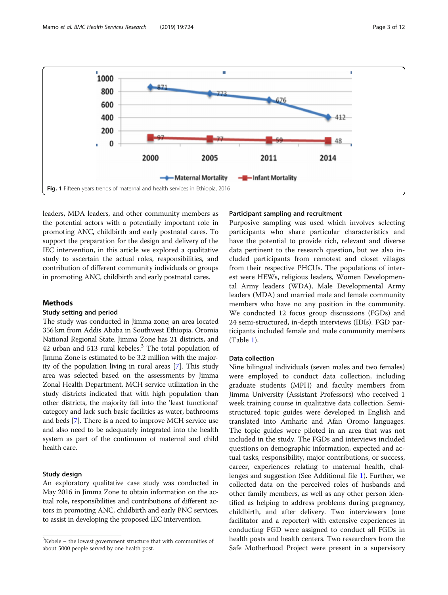<span id="page-2-0"></span>

leaders, MDA leaders, and other community members as the potential actors with a potentially important role in promoting ANC, childbirth and early postnatal cares. To support the preparation for the design and delivery of the IEC intervention, in this article we explored a qualitative study to ascertain the actual roles, responsibilities, and contribution of different community individuals or groups in promoting ANC, childbirth and early postnatal cares.

## Methods

## Study setting and period

The study was conducted in Jimma zone; an area located 356 km from Addis Ababa in Southwest Ethiopia, Oromia National Regional State. Jimma Zone has 21 districts, and 42 urban and 513 rural kebeles. $3$  The total population of Jimma Zone is estimated to be 3.2 million with the majority of the population living in rural areas [\[7](#page-11-0)]. This study area was selected based on the assessments by Jimma Zonal Health Department, MCH service utilization in the study districts indicated that with high population than other districts, the majority fall into the 'least functional' category and lack such basic facilities as water, bathrooms and beds [\[7\]](#page-11-0). There is a need to improve MCH service use and also need to be adequately integrated into the health system as part of the continuum of maternal and child health care.

## Study design

An exploratory qualitative case study was conducted in May 2016 in Jimma Zone to obtain information on the actual role, responsibilities and contributions of different actors in promoting ANC, childbirth and early PNC services, to assist in developing the proposed IEC intervention.

## Participant sampling and recruitment

Purposive sampling was used which involves selecting participants who share particular characteristics and have the potential to provide rich, relevant and diverse data pertinent to the research question, but we also included participants from remotest and closet villages from their respective PHCUs. The populations of interest were HEWs, religious leaders, Women Developmental Army leaders (WDA), Male Developmental Army leaders (MDA) and married male and female community members who have no any position in the community. We conducted 12 focus group discussions (FGDs) and 24 semi-structured, in-depth interviews (IDIs). FGD participants included female and male community members (Table [1\)](#page-3-0).

## Data collection

Nine bilingual individuals (seven males and two females) were employed to conduct data collection, including graduate students (MPH) and faculty members from Jimma University (Assistant Professors) who received 1 week training course in qualitative data collection. Semistructured topic guides were developed in English and translated into Amharic and Afan Oromo languages. The topic guides were piloted in an area that was not included in the study. The FGDs and interviews included questions on demographic information, expected and actual tasks, responsibility, major contributions, or success, career, experiences relating to maternal health, challenges and suggestion (See Additional file [1](#page-10-0)). Further, we collected data on the perceived roles of husbands and other family members, as well as any other person identified as helping to address problems during pregnancy, childbirth, and after delivery. Two interviewers (one facilitator and a reporter) with extensive experiences in conducting FGD were assigned to conduct all FGDs in health posts and health centers. Two researchers from the Safe Motherhood Project were present in a supervisory

 $3$ Kebele – the lowest government structure that with communities of about 5000 people served by one health post.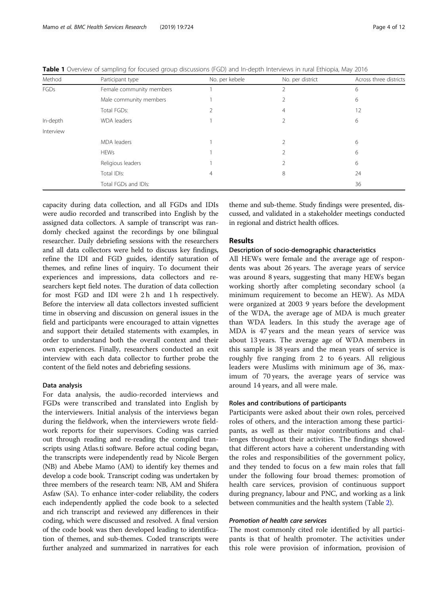| Method    | Participant type         | No. per kebele | No. per district | Across three districts |
|-----------|--------------------------|----------------|------------------|------------------------|
| FGDs      | Female community members |                | 2                | 6                      |
|           | Male community members   |                |                  | 6                      |
|           | Total FGDs:              | 2              | 4                | 12                     |
| In-depth  | <b>WDA</b> leaders       |                | 2                | 6                      |
| Interview |                          |                |                  |                        |
|           | MDA leaders              |                | 2                | 6                      |
|           | <b>HEWs</b>              |                |                  | 6                      |
|           | Religious leaders        |                |                  | 6                      |
|           | Total IDIs:              | 4              | 8                | 24                     |
|           | Total FGDs and IDIs:     |                |                  | 36                     |

<span id="page-3-0"></span>Table 1 Overview of sampling for focused group discussions (FGD) and In-depth Interviews in rural Ethiopia, May 2016

capacity during data collection, and all FGDs and IDIs were audio recorded and transcribed into English by the assigned data collectors. A sample of transcript was randomly checked against the recordings by one bilingual researcher. Daily debriefing sessions with the researchers and all data collectors were held to discuss key findings, refine the IDI and FGD guides, identify saturation of themes, and refine lines of inquiry. To document their experiences and impressions, data collectors and researchers kept field notes. The duration of data collection for most FGD and IDI were 2h and 1h respectively. Before the interview all data collectors invested sufficient time in observing and discussion on general issues in the field and participants were encouraged to attain vignettes and support their detailed statements with examples, in order to understand both the overall context and their own experiences. Finally, researchers conducted an exit interview with each data collector to further probe the content of the field notes and debriefing sessions.

## Data analysis

For data analysis, the audio-recorded interviews and FGDs were transcribed and translated into English by the interviewers. Initial analysis of the interviews began during the fieldwork, when the interviewers wrote fieldwork reports for their supervisors. Coding was carried out through reading and re-reading the compiled transcripts using Atlas.ti software. Before actual coding began, the transcripts were independently read by Nicole Bergen (NB) and Abebe Mamo (AM) to identify key themes and develop a code book. Transcript coding was undertaken by three members of the research team: NB, AM and Shifera Asfaw (SA). To enhance inter-coder reliability, the coders each independently applied the code book to a selected and rich transcript and reviewed any differences in their coding, which were discussed and resolved. A final version of the code book was then developed leading to identification of themes, and sub-themes. Coded transcripts were further analyzed and summarized in narratives for each

theme and sub-theme. Study findings were presented, discussed, and validated in a stakeholder meetings conducted in regional and district health offices.

#### **Results**

## Description of socio-demographic characteristics

All HEWs were female and the average age of respondents was about 26 years. The average years of service was around 8 years, suggesting that many HEWs began working shortly after completing secondary school (a minimum requirement to become an HEW). As MDA were organized at 2003 9 years before the development of the WDA, the average age of MDA is much greater than WDA leaders. In this study the average age of MDA is 47 years and the mean years of service was about 13 years. The average age of WDA members in this sample is 38 years and the mean years of service is roughly five ranging from 2 to 6 years. All religious leaders were Muslims with minimum age of 36, maximum of 70 years, the average years of service was around 14 years, and all were male.

#### Roles and contributions of participants

Participants were asked about their own roles, perceived roles of others, and the interaction among these participants, as well as their major contributions and challenges throughout their activities. The findings showed that different actors have a coherent understanding with the roles and responsibilities of the government policy, and they tended to focus on a few main roles that fall under the following four broad themes: promotion of health care services, provision of continuous support during pregnancy, labour and PNC, and working as a link between communities and the health system (Table [2](#page-4-0)).

## Promotion of health care services

The most commonly cited role identified by all participants is that of health promoter. The activities under this role were provision of information, provision of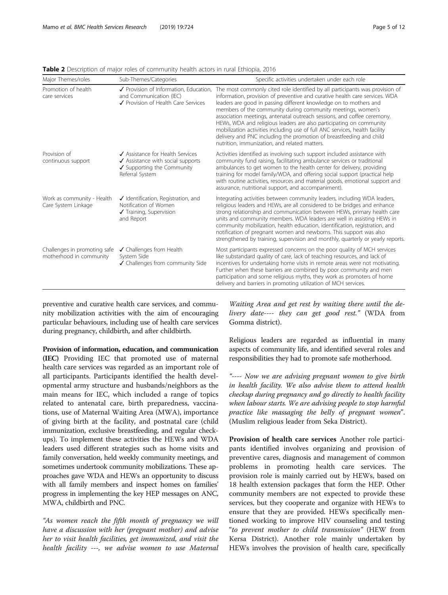| Major Themes/roles                                      | Sub-Themes/Categories                                                                                                                        | Specific activities undertaken under each role                                                                                                                                                                                                                                                                                                                                                                                                                                                                                                                                                                                                           |
|---------------------------------------------------------|----------------------------------------------------------------------------------------------------------------------------------------------|----------------------------------------------------------------------------------------------------------------------------------------------------------------------------------------------------------------------------------------------------------------------------------------------------------------------------------------------------------------------------------------------------------------------------------------------------------------------------------------------------------------------------------------------------------------------------------------------------------------------------------------------------------|
| Promotion of health<br>care services                    | ✔ Provision of Information, Education,<br>and Communication (IEC)<br>✔ Provision of Health Care Services                                     | The most commonly cited role identified by all participants was provision of<br>information, provision of preventive and curative health care services. WDA<br>leaders are good in passing different knowledge on to mothers and<br>members of the community during community meetings, women's<br>association meetings, antenatal outreach sessions, and coffee ceremony.<br>HEWs, WDA and religious leaders are also participating on community<br>mobilization activities including use of full ANC services, health facility<br>delivery and PNC including the promotion of breastfeeding and child<br>nutrition, immunization, and related matters. |
| Provision of<br>continuous support                      | ✔ Assistance for Health Services<br>$\checkmark$ Assistance with social supports<br>$\checkmark$ Supporting the Community<br>Referral System | Activities identified as involving such support included assistance with<br>community fund raising, facilitating ambulance services or traditional<br>ambulances to get women to the health center for delivery, providing<br>training for model family/WDA, and offering social support (practical help<br>with routine activities, resources and material goods, emotional support and<br>assurance, nutritional support, and accompaniment).                                                                                                                                                                                                          |
| Work as community - Health<br>Care System Linkage       | ✔ Identification, Registration, and<br>Notification of Women<br>✔ Training, Supervision<br>and Report                                        | Integrating activities between community leaders, including WDA leaders,<br>religious leaders and HEWs, are all considered to be bridges and enhance<br>strong relationship and communication between HEWs, primary health care<br>units and community members. WDA leaders are well in assisting HEWs in<br>community mobilization, health education, identification, registration, and<br>notification of pregnant women and newborns. This support was also<br>strengthened by training, supervision and monthly, quarterly or yearly reports.                                                                                                        |
| Challenges in promoting safe<br>motherhood in community | ✔ Challenges from Health<br>System Side<br>✔ Challenges from community Side                                                                  | Most participants expressed concerns on the poor quality of MCH services<br>like substandard quality of care, lack of teaching resources, and lack of<br>incentives for undertaking home visits in remote areas were not motivating.<br>Further when these barriers are combined by poor community and men<br>participation and some religious myths, they work as promoters of home<br>delivery and barriers in promoting utilization of MCH services.                                                                                                                                                                                                  |

<span id="page-4-0"></span>**Table 2** Description of major roles of community health actors in rural Ethiopia, 2016

preventive and curative health care services, and community mobilization activities with the aim of encouraging particular behaviours, including use of health care services during pregnancy, childbirth, and after childbirth.

Provision of information, education, and communication (IEC) Providing IEC that promoted use of maternal health care services was regarded as an important role of all participants. Participants identified the health developmental army structure and husbands/neighbors as the main means for IEC, which included a range of topics related to antenatal care, birth preparedness, vaccinations, use of Maternal Waiting Area (MWA), importance of giving birth at the facility, and postnatal care (child immunization, exclusive breastfeeding, and regular checkups). To implement these activities the HEWs and WDA leaders used different strategies such as home visits and family conversation, held weekly community meetings, and sometimes undertook community mobilizations. These approaches gave WDA and HEWs an opportunity to discuss with all family members and inspect homes on families' progress in implementing the key HEP messages on ANC, MWA, childbirth and PNC.

"As women reach the fifth month of pregnancy we will have a discussion with her (pregnant mother) and advise her to visit health facilities, get immunized, and visit the health facility ---, we advise women to use Maternal Waiting Area and get rest by waiting there until the delivery date---- they can get good rest." (WDA from Gomma district).

Religious leaders are regarded as influential in many aspects of community life, and identified several roles and responsibilities they had to promote safe motherhood.

"---- Now we are advising pregnant women to give birth in health facility. We also advise them to attend health checkup during pregnancy and go directly to health facility when labour starts. We are advising people to stop harmful practice like massaging the belly of pregnant women". (Muslim religious leader from Seka District).

Provision of health care services Another role participants identified involves organizing and provision of preventive cares, diagnosis and management of common problems in promoting health care services. The provision role is mainly carried out by HEWs, based on 18 health extension packages that form the HEP. Other community members are not expected to provide these services, but they cooperate and organize with HEWs to ensure that they are provided. HEWs specifically mentioned working to improve HIV counseling and testing "to prevent mother to child transmission" (HEW from Kersa District). Another role mainly undertaken by HEWs involves the provision of health care, specifically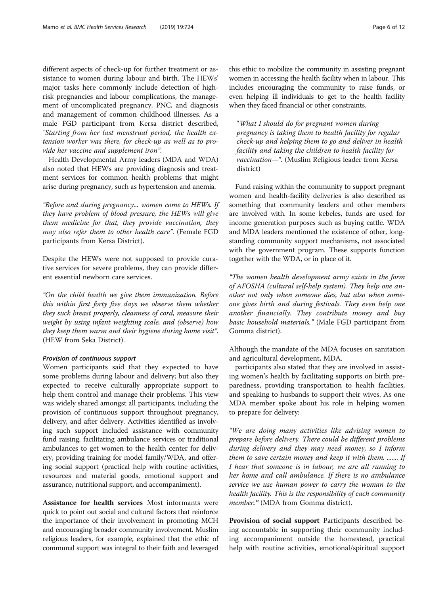different aspects of check-up for further treatment or assistance to women during labour and birth. The HEWs' major tasks here commonly include detection of highrisk pregnancies and labour complications, the management of uncomplicated pregnancy, PNC, and diagnosis and management of common childhood illnesses. As a male FGD participant from Kersa district described, "Starting from her last menstrual period, the health extension worker was there, for check-up as well as to provide her vaccine and supplement iron".

Health Developmental Army leaders (MDA and WDA) also noted that HEWs are providing diagnosis and treatment services for common health problems that might arise during pregnancy, such as hypertension and anemia.

"Before and during pregnancy... women come to HEWs. If they have problem of blood pressure, the HEWs will give them medicine for that, they provide vaccination, they may also refer them to other health care". (Female FGD participants from Kersa District).

Despite the HEWs were not supposed to provide curative services for severe problems, they can provide different essential newborn care services.

"On the child health we give them immunization. Before this within first forty five days we observe them whether they suck breast properly, cleanness of cord, measure their weight by using infant weighting scale, and (observe) how they keep them warm and their hygiene during home visit". (HEW from Seka District).

#### Provision of continuous support

Women participants said that they expected to have some problems during labour and delivery; but also they expected to receive culturally appropriate support to help them control and manage their problems. This view was widely shared amongst all participants, including the provision of continuous support throughout pregnancy, delivery, and after delivery. Activities identified as involving such support included assistance with community fund raising, facilitating ambulance services or traditional ambulances to get women to the health center for delivery, providing training for model family/WDA, and offering social support (practical help with routine activities, resources and material goods, emotional support and assurance, nutritional support, and accompaniment).

Assistance for health services Most informants were quick to point out social and cultural factors that reinforce the importance of their involvement in promoting MCH and encouraging broader community involvement. Muslim religious leaders, for example, explained that the ethic of communal support was integral to their faith and leveraged

this ethic to mobilize the community in assisting pregnant women in accessing the health facility when in labour. This includes encouraging the community to raise funds, or even helping ill individuals to get to the health facility when they faced financial or other constraints.

"What I should do for pregnant women during pregnancy is taking them to health facility for regular check-up and helping them to go and deliver in health facility and taking the children to health facility for vaccination—". (Muslim Religious leader from Kersa district)

Fund raising within the community to support pregnant women and health-facility deliveries is also described as something that community leaders and other members are involved with. In some kebeles, funds are used for income generation purposes such as buying cattle. WDA and MDA leaders mentioned the existence of other, longstanding community support mechanisms, not associated with the government program. These supports function together with the WDA, or in place of it.

"The women health development army exists in the form of AFOSHA (cultural self-help system). They help one another not only when someone dies, but also when someone gives birth and during festivals. They even help one another financially. They contribute money and buy basic household materials." (Male FGD participant from Gomma district).

Although the mandate of the MDA focuses on sanitation and agricultural development, MDA.

participants also stated that they are involved in assisting women's health by facilitating supports on birth preparedness, providing transportation to health facilities, and speaking to husbands to support their wives. As one MDA member spoke about his role in helping women to prepare for delivery:

"We are doing many activities like advising women to prepare before delivery. There could be different problems during delivery and they may need money, so I inform them to save certain money and keep it with them. ....... If I hear that someone is in labour, we are all running to her home and call ambulance. If there is no ambulance service we use human power to carry the woman to the health facility. This is the responsibility of each community member." (MDA from Gomma district).

Provision of social support Participants described being accountable in supporting their community including accompaniment outside the homestead, practical help with routine activities, emotional/spiritual support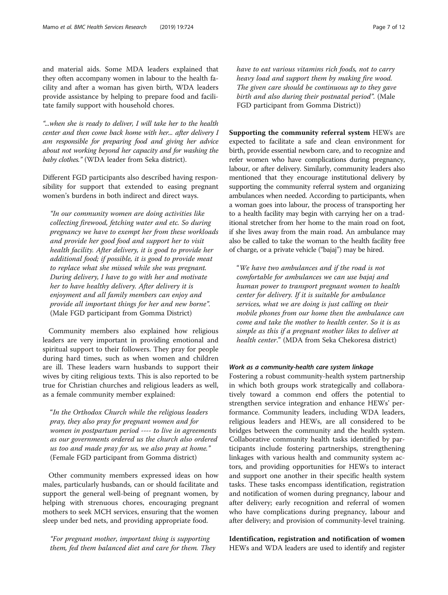and material aids. Some MDA leaders explained that they often accompany women in labour to the health facility and after a woman has given birth, WDA leaders provide assistance by helping to prepare food and facilitate family support with household chores.

"...when she is ready to deliver, I will take her to the health center and then come back home with her... after delivery I am responsible for preparing food and giving her advice about not working beyond her capacity and for washing the baby clothes." (WDA leader from Seka district).

Different FGD participants also described having responsibility for support that extended to easing pregnant women's burdens in both indirect and direct ways.

"In our community women are doing activities like collecting firewood, fetching water and etc. So during pregnancy we have to exempt her from these workloads and provide her good food and support her to visit health facility. After delivery, it is good to provide her additional food; if possible, it is good to provide meat to replace what she missed while she was pregnant. During delivery, I have to go with her and motivate her to have healthy delivery. After delivery it is enjoyment and all family members can enjoy and provide all important things for her and new borne". (Male FGD participant from Gomma District)

Community members also explained how religious leaders are very important in providing emotional and spiritual support to their followers. They pray for people during hard times, such as when women and children are ill. These leaders warn husbands to support their wives by citing religious texts. This is also reported to be true for Christian churches and religious leaders as well, as a female community member explained:

"In the Orthodox Church while the religious leaders pray, they also pray for pregnant women and for women in postpartum period ---- to live in agreements as our governments ordered us the church also ordered us too and made pray for us, we also pray at home." (Female FGD participant from Gomma district)

Other community members expressed ideas on how males, particularly husbands, can or should facilitate and support the general well-being of pregnant women, by helping with strenuous chores, encouraging pregnant mothers to seek MCH services, ensuring that the women sleep under bed nets, and providing appropriate food.

"For pregnant mother, important thing is supporting them, fed them balanced diet and care for them. They have to eat various vitamins rich foods, not to carry heavy load and support them by making fire wood. The given care should be continuous up to they gave birth and also during their postnatal period". (Male FGD participant from Gomma District))

Supporting the community referral system HEWs are expected to facilitate a safe and clean environment for birth, provide essential newborn care, and to recognize and refer women who have complications during pregnancy, labour, or after delivery. Similarly, community leaders also mentioned that they encourage institutional delivery by supporting the community referral system and organizing ambulances when needed. According to participants, when a woman goes into labour, the process of transporting her to a health facility may begin with carrying her on a traditional stretcher from her home to the main road on foot, if she lives away from the main road. An ambulance may also be called to take the woman to the health facility free of charge, or a private vehicle ("bajaj") may be hired.

"We have two ambulances and if the road is not comfortable for ambulances we can use bajaj and human power to transport pregnant women to health center for delivery. If it is suitable for ambulance services, what we are doing is just calling on their mobile phones from our home then the ambulance can come and take the mother to health center. So it is as simple as this if a pregnant mother likes to deliver at health center." (MDA from Seka Chekoresa district)

#### Work as a community-health care system linkage

Fostering a robust community-health system partnership in which both groups work strategically and collaboratively toward a common end offers the potential to strengthen service integration and enhance HEWs' performance. Community leaders, including WDA leaders, religious leaders and HEWs, are all considered to be bridges between the community and the health system. Collaborative community health tasks identified by participants include fostering partnerships, strengthening linkages with various health and community system actors, and providing opportunities for HEWs to interact and support one another in their specific health system tasks. These tasks encompass identification, registration and notification of women during pregnancy, labour and after delivery; early recognition and referral of women who have complications during pregnancy, labour and after delivery; and provision of community-level training.

Identification, registration and notification of women HEWs and WDA leaders are used to identify and register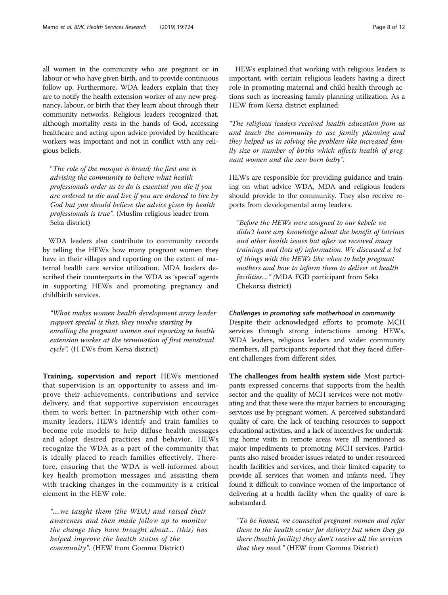all women in the community who are pregnant or in labour or who have given birth, and to provide continuous follow up. Furthermore, WDA leaders explain that they are to notify the health extension worker of any new pregnancy, labour, or birth that they learn about through their community networks. Religious leaders recognized that, although mortality rests in the hands of God, accessing healthcare and acting upon advice provided by healthcare workers was important and not in conflict with any religious beliefs.

"The role of the mosque is broad; the first one is advising the community to believe what health professionals order us to do is essential you die if you are ordered to die and live if you are ordered to live by God but you should believe the advice given by health professionals is true". (Muslim religious leader from Seka district)

WDA leaders also contribute to community records by telling the HEWs how many pregnant women they have in their villages and reporting on the extent of maternal health care service utilization. MDA leaders described their counterparts in the WDA as 'special' agents in supporting HEWs and promoting pregnancy and childbirth services.

"What makes women health development army leader support special is that, they involve starting by enrolling the pregnant women and reporting to health extension worker at the termination of first menstrual cycle". (H EWs from Kersa district)

Training, supervision and report HEWs mentioned that supervision is an opportunity to assess and improve their achievements, contributions and service delivery, and that supportive supervision encourages them to work better. In partnership with other community leaders, HEWs identify and train families to become role models to help diffuse health messages and adopt desired practices and behavior. HEWs recognize the WDA as a part of the community that is ideally placed to reach families effectively. Therefore, ensuring that the WDA is well-informed about key health promotion messages and assisting them with tracking changes in the community is a critical element in the HEW role.

"....we taught them (the WDA) and raised their awareness and then made follow up to monitor the change they have brought about... (this) has helped improve the health status of the community". (HEW from Gomma District)

HEWs explained that working with religious leaders is important, with certain religious leaders having a direct role in promoting maternal and child health through actions such as increasing family planning utilization. As a HEW from Kersa district explained:

"The religious leaders received health education from us and teach the community to use family planning and they helped us in solving the problem like increased family size or number of births which affects health of pregnant women and the new born baby".

HEWs are responsible for providing guidance and training on what advice WDA, MDA and religious leaders should provide to the community. They also receive reports from developmental army leaders.

"Before the HEWs were assigned to our kebele we didn't have any knowledge about the benefit of latrines and other health issues but after we received many trainings and (lots of) information. We discussed a lot of things with the HEWs like when to help pregnant mothers and how to inform them to deliver at health facilities...." (MDA FGD participant from Seka Chekorsa district)

#### Challenges in promoting safe motherhood in community

Despite their acknowledged efforts to promote MCH services through strong interactions among HEWs, WDA leaders, religious leaders and wider community members, all participants reported that they faced different challenges from different sides.

The challenges from health system side Most participants expressed concerns that supports from the health sector and the quality of MCH services were not motivating and that these were the major barriers to encouraging services use by pregnant women. A perceived substandard quality of care, the lack of teaching resources to support educational activities, and a lack of incentives for undertaking home visits in remote areas were all mentioned as major impediments to promoting MCH services. Participants also raised broader issues related to under-resourced health facilities and services, and their limited capacity to provide all services that women and infants need. They found it difficult to convince women of the importance of delivering at a health facility when the quality of care is substandard.

"To be honest, we counseled pregnant women and refer them to the health center for delivery but when they go there (health facility) they don't receive all the services that they need." (HEW from Gomma District)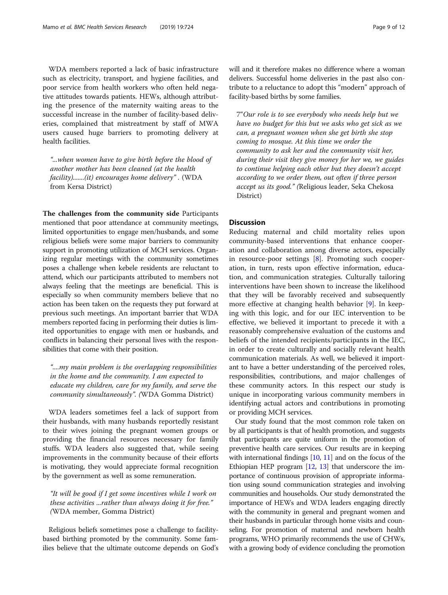WDA members reported a lack of basic infrastructure such as electricity, transport, and hygiene facilities, and poor service from health workers who often held negative attitudes towards patients. HEWs, although attributing the presence of the maternity waiting areas to the successful increase in the number of facility-based deliveries, complained that mistreatment by staff of MWA users caused huge barriers to promoting delivery at health facilities.

"...when women have to give birth before the blood of another mother has been cleaned (at the health facility).......(it) encourages home delivery" . (WDA from Kersa District)

The challenges from the community side Participants mentioned that poor attendance at community meetings, limited opportunities to engage men/husbands, and some religious beliefs were some major barriers to community support in promoting utilization of MCH services. Organizing regular meetings with the community sometimes poses a challenge when kebele residents are reluctant to attend, which our participants attributed to members not always feeling that the meetings are beneficial. This is especially so when community members believe that no action has been taken on the requests they put forward at previous such meetings. An important barrier that WDA members reported facing in performing their duties is limited opportunities to engage with men or husbands, and conflicts in balancing their personal lives with the responsibilities that come with their position.

"....my main problem is the overlapping responsibilities in the home and the community. I am expected to educate my children, care for my family, and serve the community simultaneously". (WDA Gomma District)

WDA leaders sometimes feel a lack of support from their husbands, with many husbands reportedly resistant to their wives joining the pregnant women groups or providing the financial resources necessary for family stuffs. WDA leaders also suggested that, while seeing improvements in the community because of their efforts is motivating, they would appreciate formal recognition by the government as well as some remuneration.

"It will be good if I get some incentives while I work on these activities ...rather than always doing it for free." (WDA member, Gomma District)

Religious beliefs sometimes pose a challenge to facilitybased birthing promoted by the community. Some families believe that the ultimate outcome depends on God's

will and it therefore makes no difference where a woman delivers. Successful home deliveries in the past also contribute to a reluctance to adopt this "modern" approach of facility-based births by some families.

7"Our role is to see everybody who needs help but we have no budget for this but we asks who get sick as we can, a pregnant women when she get birth she stop coming to mosque. At this time we order the community to ask her and the community visit her, during their visit they give money for her we, we guides to continue helping each other but they doesn't accept according to we order them, out often if three person accept us its good." (Religious leader, Seka Chekosa District)

## **Discussion**

Reducing maternal and child mortality relies upon community-based interventions that enhance cooperation and collaboration among diverse actors, especially in resource-poor settings [\[8](#page-11-0)]. Promoting such cooperation, in turn, rests upon effective information, education, and communication strategies. Culturally tailoring interventions have been shown to increase the likelihood that they will be favorably received and subsequently more effective at changing health behavior [[9\]](#page-11-0). In keeping with this logic, and for our IEC intervention to be effective, we believed it important to precede it with a reasonably comprehensive evaluation of the customs and beliefs of the intended recipients/participants in the IEC, in order to create culturally and socially relevant health communication materials. As well, we believed it important to have a better understanding of the perceived roles, responsibilities, contributions, and major challenges of these community actors. In this respect our study is unique in incorporating various community members in identifying actual actors and contributions in promoting or providing MCH services.

Our study found that the most common role taken on by all participants is that of health promotion, and suggests that participants are quite uniform in the promotion of preventive health care services. Our results are in keeping with international findings [[10](#page-11-0), [11\]](#page-11-0) and on the focus of the Ethiopian HEP program [\[12,](#page-11-0) [13](#page-11-0)] that underscore the importance of continuous provision of appropriate information using sound communication strategies and involving communities and households. Our study demonstrated the importance of HEWs and WDA leaders engaging directly with the community in general and pregnant women and their husbands in particular through home visits and counseling. For promotion of maternal and newborn health programs, WHO primarily recommends the use of CHWs, with a growing body of evidence concluding the promotion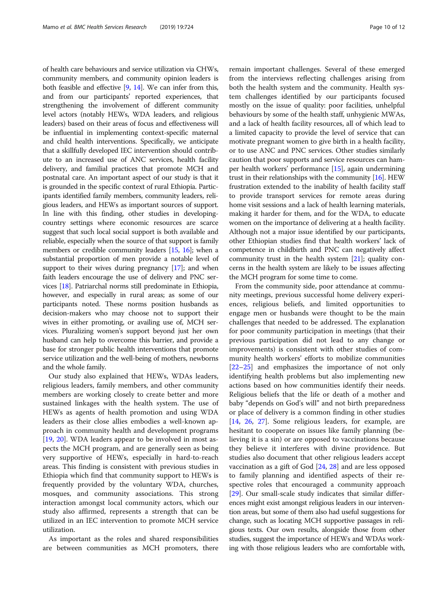of health care behaviours and service utilization via CHWs, community members, and community opinion leaders is both feasible and effective [\[9,](#page-11-0) [14\]](#page-11-0). We can infer from this, and from our participants' reported experiences, that strengthening the involvement of different community level actors (notably HEWs, WDA leaders, and religious leaders) based on their areas of focus and effectiveness will be influential in implementing context-specific maternal and child health interventions. Specifically, we anticipate that a skillfully developed IEC intervention should contribute to an increased use of ANC services, health facility delivery, and familial practices that promote MCH and postnatal care. An important aspect of our study is that it is grounded in the specific context of rural Ethiopia. Participants identified family members, community leaders, religious leaders, and HEWs as important sources of support. In line with this finding, other studies in developingcountry settings where economic resources are scarce suggest that such local social support is both available and reliable, especially when the source of that support is family members or credible community leaders [[15,](#page-11-0) [16](#page-11-0)]; when a substantial proportion of men provide a notable level of support to their wives during pregnancy  $[17]$ ; and when faith leaders encourage the use of delivery and PNC services [\[18](#page-11-0)]. Patriarchal norms still predominate in Ethiopia, however, and especially in rural areas; as some of our participants noted. These norms position husbands as decision-makers who may choose not to support their wives in either promoting, or availing use of, MCH services. Pluralizing women's support beyond just her own husband can help to overcome this barrier, and provide a base for stronger public health interventions that promote service utilization and the well-being of mothers, newborns and the whole family.

Our study also explained that HEWs, WDAs leaders, religious leaders, family members, and other community members are working closely to create better and more sustained linkages with the health system. The use of HEWs as agents of health promotion and using WDA leaders as their close allies embodies a well-known approach in community health and development programs [[19,](#page-11-0) [20\]](#page-11-0). WDA leaders appear to be involved in most aspects the MCH program, and are generally seen as being very supportive of HEWs, especially in hard-to-reach areas. This finding is consistent with previous studies in Ethiopia which find that community support to HEWs is frequently provided by the voluntary WDA, churches, mosques, and community associations. This strong interaction amongst local community actors, which our study also affirmed, represents a strength that can be utilized in an IEC intervention to promote MCH service utilization.

As important as the roles and shared responsibilities are between communities as MCH promoters, there

remain important challenges. Several of these emerged from the interviews reflecting challenges arising from both the health system and the community. Health system challenges identified by our participants focused mostly on the issue of quality: poor facilities, unhelpful behaviours by some of the health staff, unhygienic MWAs, and a lack of health facility resources, all of which lead to a limited capacity to provide the level of service that can motivate pregnant women to give birth in a health facility, or to use ANC and PNC services. Other studies similarly caution that poor supports and service resources can hamper health workers' performance [[15](#page-11-0)], again undermining trust in their relationships with the community  $[16]$ . HEW frustration extended to the inability of health facility staff to provide transport services for remote areas during home visit sessions and a lack of health learning materials, making it harder for them, and for the WDA, to educate women on the importance of delivering at a health facility. Although not a major issue identified by our participants, other Ethiopian studies find that health workers' lack of competence in childbirth and PNC can negatively affect community trust in the health system  $[21]$ ; quality concerns in the health system are likely to be issues affecting the MCH program for some time to come.

From the community side, poor attendance at community meetings, previous successful home delivery experiences, religious beliefs, and limited opportunities to engage men or husbands were thought to be the main challenges that needed to be addressed. The explanation for poor community participation in meetings (that their previous participation did not lead to any change or improvements) is consistent with other studies of community health workers' efforts to mobilize communities [[22](#page-11-0)–[25](#page-11-0)] and emphasizes the importance of not only identifying health problems but also implementing new actions based on how communities identify their needs. Religious beliefs that the life or death of a mother and baby "depends on God's will" and not birth preparedness or place of delivery is a common finding in other studies [[14,](#page-11-0) [26](#page-11-0), [27\]](#page-11-0). Some religious leaders, for example, are hesitant to cooperate on issues like family planning (believing it is a sin) or are opposed to vaccinations because they believe it interferes with divine providence. But studies also document that other religious leaders accept vaccination as a gift of God [\[24,](#page-11-0) [28\]](#page-11-0) and are less opposed to family planning and identified aspects of their respective roles that encouraged a community approach [[29\]](#page-11-0). Our small-scale study indicates that similar differences might exist amongst religious leaders in our intervention areas, but some of them also had useful suggestions for change, such as locating MCH supportive passages in religious texts. Our own results, alongside those from other studies, suggest the importance of HEWs and WDAs working with those religious leaders who are comfortable with,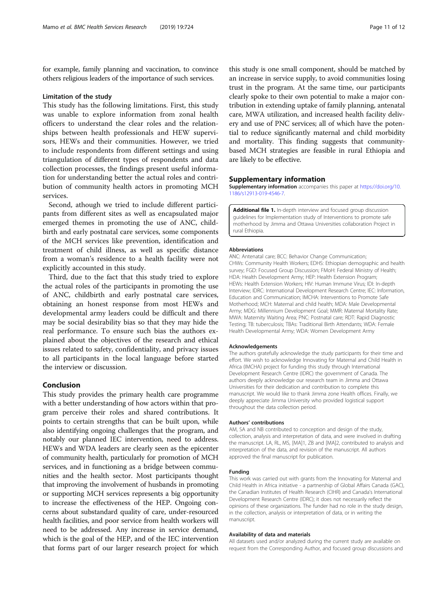<span id="page-10-0"></span>for example, family planning and vaccination, to convince others religious leaders of the importance of such services.

#### Limitation of the study

This study has the following limitations. First, this study was unable to explore information from zonal health officers to understand the clear roles and the relationships between health professionals and HEW supervisors, HEWs and their communities. However, we tried to include respondents from different settings and using triangulation of different types of respondents and data collection processes, the findings present useful information for understanding better the actual roles and contribution of community health actors in promoting MCH services.

Second, athough we tried to include different participants from different sites as well as encapsulated major emerged themes in promoting the use of ANC, childbirth and early postnatal care services, some components of the MCH services like prevention, identification and treatment of child illness, as well as specific distance from a woman's residence to a health facility were not explicitly accounted in this study.

Third, due to the fact that this study tried to explore the actual roles of the participants in promoting the use of ANC, childbirth and early postnatal care services, obtaining an honest response from most HEWs and developmental army leaders could be difficult and there may be social desirability bias so that they may hide the real performance. To ensure such bias the authors explained about the objectives of the research and ethical issues related to safety, confidentiality, and privacy issues to all participants in the local language before started the interview or discussion.

## Conclusion

This study provides the primary health care programme with a better understanding of how actors within that program perceive their roles and shared contributions. It points to certain strengths that can be built upon, while also identifying ongoing challenges that the program, and notably our planned IEC intervention, need to address. HEWs and WDA leaders are clearly seen as the epicenter of community health, particularly for promotion of MCH services, and in functioning as a bridge between communities and the health sector. Most participants thought that improving the involvement of husbands in promoting or supporting MCH services represents a big opportunity to increase the effectiveness of the HEP. Ongoing concerns about substandard quality of care, under-resourced health facilities, and poor service from health workers will need to be addressed. Any increase in service demand, which is the goal of the HEP, and of the IEC intervention that forms part of our larger research project for which

this study is one small component, should be matched by an increase in service supply, to avoid communities losing trust in the program. At the same time, our participants clearly spoke to their own potential to make a major contribution in extending uptake of family planning, antenatal care, MWA utilization, and increased health facility delivery and use of PNC services; all of which have the potential to reduce significantly maternal and child morbidity and mortality. This finding suggests that communitybased MCH strategies are feasible in rural Ethiopia and are likely to be effective.

## Supplementary information

Supplementary information accompanies this paper at [https://doi.org/10.](https://doi.org/10.1186/s12913-019-4546-7) [1186/s12913-019-4546-7.](https://doi.org/10.1186/s12913-019-4546-7)

Additional file 1. In-depth interview and focused group discussion guidelines for Implementation study of Interventions to promote safe motherhood by Jimma and Ottawa Universities collaboration Project in rural Ethiopia.

#### Abbreviations

ANC: Antenatal care; BCC: Behavior Change Communication; CHWs: Community Health Workers; EDHS: Ethiopian demographic and health survey; FGD: Focused Group Discussion; FMoH: Federal Ministry of Health; HDA: Health Development Army; HEP: Health Extension Program; HEWs: Health Extension Workers; HIV: Human Immune Virus; IDI: In-depth Interview; IDRC: International Development Research Centre; IEC: Information, Education and Communication; IMCHA: Interventions to Promote Safe Motherhood; MCH: Maternal and child health; MDA: Male Developmental Army; MDG: Millennium Development Goal; MMR: Maternal Mortality Rate; MWA: Maternity Waiting Area; PNC: Postnatal care; RDT: Rapid Diagnostic Testing; TB: tuberculosis; TBAs: Traditional Birth Attendants; WDA: Female Health Developmental Army; WDA: Women Development Army

#### Acknowledgements

The authors gratefully acknowledge the study participants for their time and effort. We wish to acknowledge Innovating for Maternal and Child Health in Africa (IMCHA) project for funding this study through International Development Research Centre (IDRC) the government of Canada. The authors deeply acknowledge our research team in Jimma and Ottawa Universities for their dedication and contribution to complete this manuscript. We would like to thank Jimma zone Health offices. Finally, we deeply appreciate Jimma University who provided logistical support throughout the data collection period.

#### Authors' contributions

AM, SA and NB contributed to conception and design of the study, collection, analysis and interpretation of data, and were involved in drafting the manuscript. LA, RL, MS, [MA]1, ZB and [MA]2, contributed to analysis and interpretation of the data, and revision of the manuscript. All authors approved the final manuscript for publication.

## Funding

This work was carried out with grants from the Innovating for Maternal and Child Health in Africa initiative - a partnership of Global Affairs Canada (GAC), the Canadian Institutes of Health Research (CIHR) and Canada's International Development Research Centre (IDRC); it does not necessarily reflect the opinions of these organizations. The funder had no role in the study design, in the collection, analysis or interpretation of data, or in writing the manuscript.

#### Availability of data and materials

All datasets used and/or analyzed during the current study are available on request from the Corresponding Author, and focused group discussions and